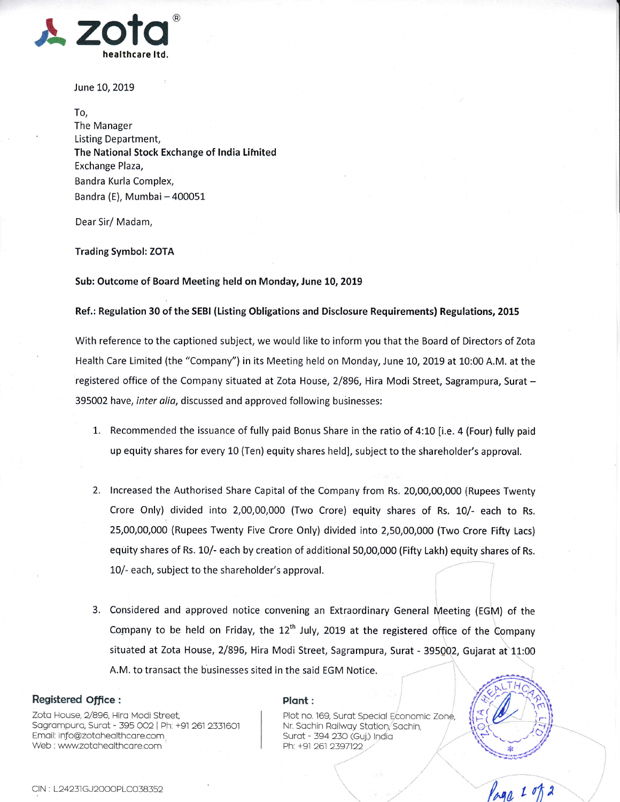

June 10, 2019

To, The Manager Listing Department, The National Stock Exchange of India Limited Exchange Plaza, Bandra Kurla Complex, Bandra (E), Mumbai - 400051

Dear Sir/ Madam,

Trading Symbol: ZOTA

Sub: Outcome of Board Meeting held on Monday, June 10, 2019

## Ref.: Regulation 30 of the SEBI (Listing Obligations and Disclosure Requirements) Regulations, 2015

With reference to the captioned subject, we would like to inform you that the Board of Directors of Zota Health Care Limited (the "Company") in its Meeting held on Monday, June 10, 2019 at 10:00 A.M. at the registered office of the Company situated at Zota House, 2/896, Hira Modi Street, Sagrampura, Surat -395002 have, inter alia, discussed and approved following businesses:

- 1. Recommended the issuance of fully paid Bonus Share in the ratio of 4:10 [i.e. 4 (Four) fully paid up equity shares for every 10 (Ten) equity shares held], subject to the shareholder's approval.
- 2. Increased the Authorised Share Capital of the Company from Rs. 20,00,00,000 (Rupees Twenty Crore Only) divided into 2,00,00,000 (Two Crore) equity shares of Rs. 10/- each to Rs. 25,00,00,000 (Rupees Twenty Five Crore Only) divided into 2,50,00,000 (Two Crore Fifty Lacs) equity shares of Rs. 10/- each by creation of additional 5O,OO,OO0 (Fifty Lakh) equity shares of Rs.
- 10/- each, subject to the shareholder's approval.<br>3. Considered and approved notice convening an Extraordinary General Meeting (EGM) of the Company to be held on Friday, the  $12<sup>th</sup>$  July, 2019 at the registered office of the Company situated at Zota House, 2/896, Hira Modi Street, Sagrampura, Surat - 395002, Gujarat at 11:00 A.M. to transact the businesses sited in the said EGM Notice.  $\sim$  $\begin{matrix} \begin{matrix} \end{matrix} \\ \end{matrix} \end{matrix}$

## Registered office :

Zota House, 2/896, Hira Modi Street, Sagrampura, Surat - 395 002 | Ph: +91 261 2331601 Email: info@zotahealthcare.com Web : www.zotahealthcare.com

## Plont:

Plot no. 169, Surat Special Economic Zone, Nr. Sachin Railway Station, Sachin, Surot - 394 23O (Guj.) lndio Ph: +91 261 2397122  $\overline{\phantom{a}}$ K

t



 $\overline{\phantom{a}}$ 

#r\*) 'xril\*tff

 $\overline{\phi}$ 3. *گس*انگها<br>م